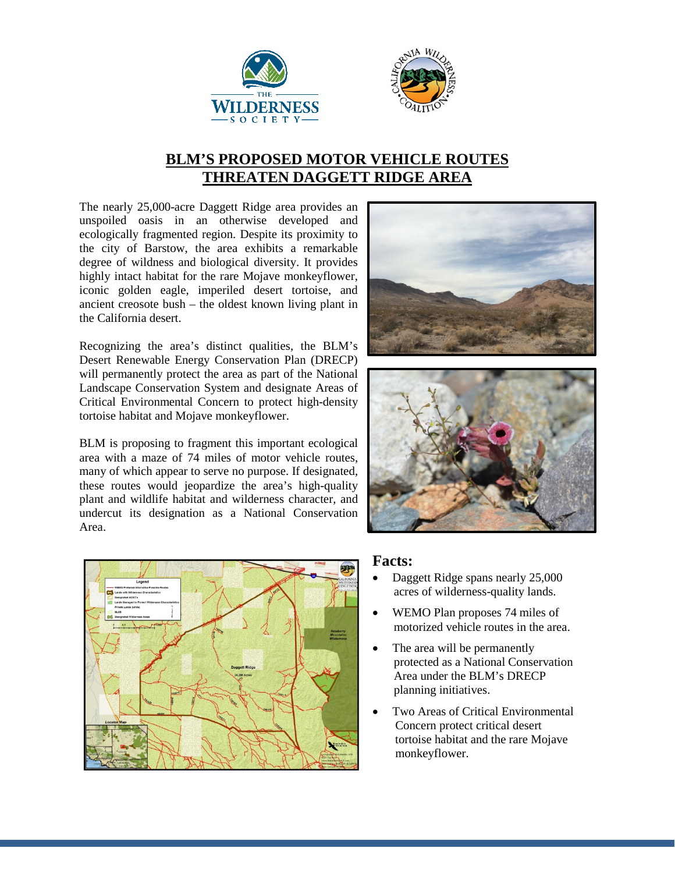



## **BLM'S PROPOSED MOTOR VEHICLE ROUTES THREATEN DAGGETT RIDGE AREA**

The nearly 25,000-acre Daggett Ridge area provides an unspoiled oasis in an otherwise developed and ecologically fragmented region. Despite its proximity to the city of Barstow, the area exhibits a remarkable degree of wildness and biological diversity. It provides highly intact habitat for the rare Mojave monkeyflower, iconic golden eagle, imperiled desert tortoise, and ancient creosote bush – the oldest known living plant in the California desert.

Recognizing the area's distinct qualities, the BLM's Desert Renewable Energy Conservation Plan (DRECP) will permanently protect the area as part of the National Landscape Conservation System and designate Areas of Critical Environmental Concern to protect high-density tortoise habitat and Mojave monkeyflower.

BLM is proposing to fragment this important ecological area with a maze of 74 miles of motor vehicle routes, many of which appear to serve no purpose. If designated, these routes would jeopardize the area's high-quality plant and wildlife habitat and wilderness character, and undercut its designation as a National Conservation Area.







## **Facts:**

- Daggett Ridge spans nearly 25,000 acres of wilderness-quality lands.
- WEMO Plan proposes 74 miles of motorized vehicle routes in the area.
- The area will be permanently protected as a National Conservation Area under the BLM's DRECP planning initiatives.
- Two Areas of Critical Environmental Concern protect critical desert tortoise habitat and the rare Mojave monkeyflower.